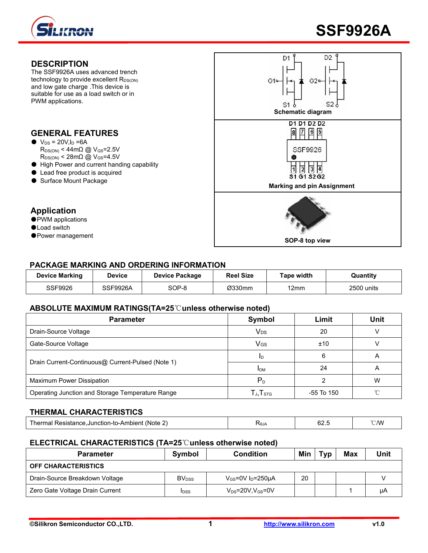





## **PACKAGE MARKING AND ORDERING INFORMATION**

| Device Marking | <b>Device</b> | <b>Device Package</b> | <b>Reel Size</b> | Гаре width | Quantity   |
|----------------|---------------|-----------------------|------------------|------------|------------|
| SSF9926        | SSF9926A      | SOP-8                 | Ø330mm           | 12mm       | 2500 units |

## **ABSOLUTE MAXIMUM RATINGS(TA=25**℃**unless otherwise noted)**

| <b>Parameter</b>                                  | Symbol                                                         | Limit      | <b>Unit</b> |
|---------------------------------------------------|----------------------------------------------------------------|------------|-------------|
| Drain-Source Voltage                              | <b>V<sub>DS</sub></b>                                          | 20         |             |
| Gate-Source Voltage                               | V <sub>GS</sub>                                                | ±10        |             |
|                                                   |                                                                |            |             |
| Drain Current-Continuous@ Current-Pulsed (Note 1) | <b>IDM</b>                                                     | 24         |             |
| Maximum Power Dissipation                         | $P_{D}$                                                        |            | W           |
| Operating Junction and Storage Temperature Range  | $\mathsf{\Gamma}_{\mathsf{J}}.\mathsf{T}_{\operatorname{STG}}$ | -55 To 150 | $\sim$      |

## **THERMAL CHARACTERISTICS**

| ' /W<br>-Ambient (Note 2).<br>Junction<br>tesista<br>artillar t<br>LAAT.<br><b>U</b> 4.<br>טערי<br>w<br>$\cup$ iv |
|-------------------------------------------------------------------------------------------------------------------|
|-------------------------------------------------------------------------------------------------------------------|

## **ELECTRICAL CHARACTERISTICS (TA=25**℃**unless otherwise noted)**

| <b>Parameter</b>                | Symbol                   | <b>Condition</b>                   | Min | Tvp | <b>Max</b> | Unit |
|---------------------------------|--------------------------|------------------------------------|-----|-----|------------|------|
| <b>OFF CHARACTERISTICS</b>      |                          |                                    |     |     |            |      |
| Drain-Source Breakdown Voltage  | <b>BV</b> <sub>DSS</sub> | $V_{GS}$ =0V I <sub>D</sub> =250µA | 20  |     |            |      |
| Zero Gate Voltage Drain Current | <b>I</b> DSS             | $V_{DS}$ =20V,V $_{GS}$ =0V        |     |     |            | μA   |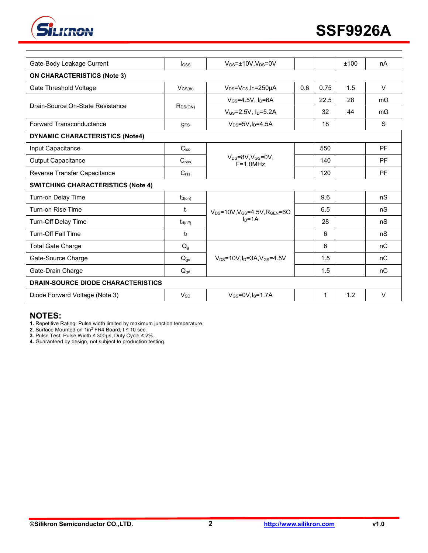

| Gate-Body Leakage Current                 | <b>I</b> GSS          | $V_{GS} = \pm 10V$ , $V_{DS} = 0V$                                          |     |      | ±100 | nA        |
|-------------------------------------------|-----------------------|-----------------------------------------------------------------------------|-----|------|------|-----------|
| <b>ON CHARACTERISTICS (Note 3)</b>        |                       |                                                                             |     |      |      |           |
| Gate Threshold Voltage                    | $V_{GS(th)}$          | $V_{DS} = V_{GS}I_D = 250 \mu A$                                            | 0.6 | 0.75 | 1.5  | V         |
| Drain-Source On-State Resistance          |                       | $V_{GS} = 4.5V$ , $I_D = 6A$                                                |     | 22.5 | 28   | $m\Omega$ |
|                                           | $R_{DS(ON)}$          | $V_{GS} = 2.5V$ , $I_D = 5.2A$                                              |     | 32   | 44   | $m\Omega$ |
| Forward Transconductance                  | $g_{FS}$              | $V_{DS} = 5V$ , $I_D = 4.5A$                                                |     | 18   |      | S         |
| <b>DYNAMIC CHARACTERISTICS (Note4)</b>    |                       |                                                                             |     |      |      |           |
| Input Capacitance                         | $C_{\text{lss}}$      |                                                                             |     | 550  |      | <b>PF</b> |
| <b>Output Capacitance</b>                 | $C_{\text{oss}}$      | $V_{DS} = 8V, V_{GS} = 0V,$<br>$F = 1.0 MHz$                                |     | 140  |      | <b>PF</b> |
| Reverse Transfer Capacitance              | C <sub>rss</sub>      |                                                                             |     | 120  |      | <b>PF</b> |
| <b>SWITCHING CHARACTERISTICS (Note 4)</b> |                       |                                                                             |     |      |      |           |
| Turn-on Delay Time                        | $t_{d(on)}$           | $V_{DS}$ =10V,V <sub>GS</sub> =4.5V,R <sub>GEN</sub> =6 $\Omega$<br>$In=1A$ |     | 9.6  |      | nS        |
| Turn-on Rise Time                         | $t_{r}$               |                                                                             |     | 6.5  |      | nS        |
| Turn-Off Delay Time                       | $t_{d(off)}$          |                                                                             |     | 28   |      | nS        |
| <b>Turn-Off Fall Time</b>                 | t                     |                                                                             |     | 6    |      | nS        |
| <b>Total Gate Charge</b>                  | Q <sub>g</sub>        | $V_{DS}$ =10V.In=3A.V $_{GS}$ =4.5V                                         |     | 6    |      | nC        |
| Gate-Source Charge                        | $Q_{gs}$              |                                                                             |     | 1.5  |      | nC        |
| Gate-Drain Charge                         | $Q_{gd}$              |                                                                             |     | 1.5  |      | nC        |
| <b>DRAIN-SOURCE DIODE CHARACTERISTICS</b> |                       |                                                                             |     |      |      |           |
| Diode Forward Voltage (Note 3)            | <b>V<sub>SD</sub></b> | $V_{GS}$ =0V, $I_S$ =1.7A                                                   |     | 1    | 1.2  | V         |
|                                           |                       |                                                                             |     |      |      |           |

## **NOTES:**

**1.** Repetitive Rating: Pulse width limited by maximum junction temperature.

**2.** Surface Mounted on 1in<sup>2</sup> FR4 Board, t ≤ 10 sec.

**3.** Pulse Test: Pulse Width ≤ 300μs, Duty Cycle ≤ 2%.

**4.** Guaranteed by design, not subject to production testing.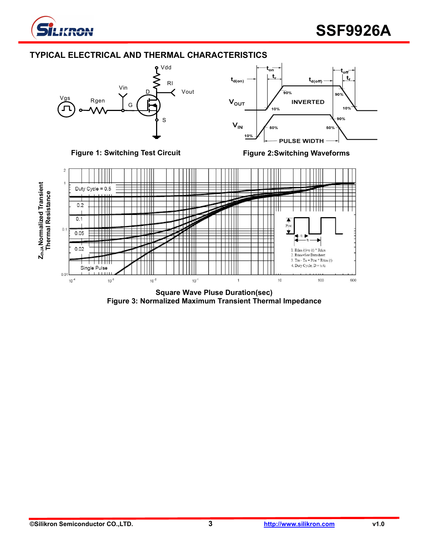

## **TYPICAL ELECTRICAL AND THERMAL CHARACTERISTICS**



**Square Wave Pluse Duration(sec) Figure 3: Normalized Maximum Transient Thermal Impedance**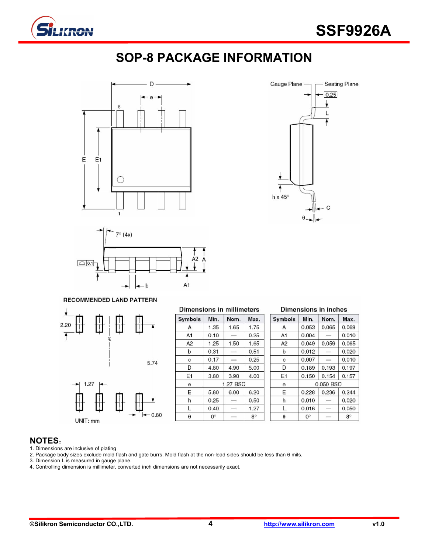![](_page_3_Picture_0.jpeg)

# **SOP-8 PACKAGE INFORMATION**

![](_page_3_Figure_3.jpeg)

![](_page_3_Figure_4.jpeg)

# Seating Plane Gauge Plane -0.25 ł L ♦ ♦ h x 45 $^{\circ}$  $\mathcal{C}$

#### RECOMMENDED LAND PATTERN

![](_page_3_Figure_7.jpeg)

#### **Dimensions in millimeters** Symbols Min. Nom. Max.  $1.35$ 1.65  $1.75$ A A<sub>1</sub>  $0.10$ 0.25  $\frac{1}{\sqrt{1-\frac{1}{2}}}$  $A2$  $1.25$ 1.65 1.50  $\mathsf b$  $0.51$  $0.31$  $\sim$  $\mathbf c$ 0.17  $0.25$  $\overline{\phantom{a}}$  $\overline{D}$ 4.80 4.90 5.00 E<sub>1</sub> 3.80 3.90 4.00 1.27 BSC e Е 5.80 6.00 6.20  $\boldsymbol{\mathsf{h}}$  $0.25$  $\overline{\phantom{a}}$ 0.50 L 0.40 1.27  $\frac{1}{2}$  $\pmb{\Theta}$  $0^\circ$  $8^\circ$ ÷

### **Dimensions in inches**

| Symbols | Min.        | Nom.      | Max.      |  |  |  |
|---------|-------------|-----------|-----------|--|--|--|
| A       | 0.053       | 0.065     | 0.069     |  |  |  |
| A1      | 0.004       |           | 0.010     |  |  |  |
| A2      | 0.049       | 0.059     | 0.065     |  |  |  |
| b       | 0.012       |           | 0.020     |  |  |  |
| c       | 0.007       |           | 0.010     |  |  |  |
| D       | 0.189       | 0.193     | 0.197     |  |  |  |
| E1      | 0.150       | 0.154     | 0.157     |  |  |  |
| e       |             | 0.050 BSC |           |  |  |  |
| E       | 0.228       | 0.236     | 0.244     |  |  |  |
| h       | 0.010       |           | 0.020     |  |  |  |
| L       | 0.016       |           | 0.050     |  |  |  |
| θ       | $0^{\circ}$ |           | $8^\circ$ |  |  |  |

## **NOTES**:

- 1. Dimensions are inclusive of plating
- 2. Package body sizes exclude mold flash and gate burrs. Mold flash at the non-lead sides should be less than 6 mils.
- 3. Dimension L is measured in gauge plane.
- 4. Controlling dimension is millimeter, converted inch dimensions are not necessarily exact.